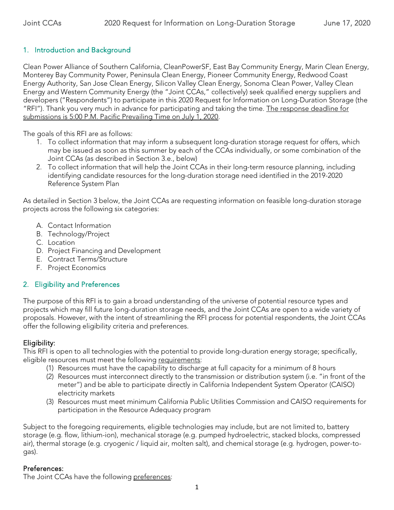## 1. Introduction and Background

Clean Power Alliance of Southern California, CleanPowerSF, East Bay Community Energy, Marin Clean Energy, Monterey Bay Community Power, Peninsula Clean Energy, Pioneer Community Energy, Redwood Coast Energy Authority, San Jose Clean Energy, Silicon Valley Clean Energy, Sonoma Clean Power, Valley Clean Energy and Western Community Energy (the "Joint CCAs," collectively) seek qualified energy suppliers and developers ("Respondents") to participate in this 2020 Request for Information on Long-Duration Storage (the "RFI"). Thank you very much in advance for participating and taking the time. The response deadline for submissions is 5:00 P.M. Pacific Prevailing Time on July 1, 2020.

The goals of this RFI are as follows:

- 1. To collect information that may inform a subsequent long-duration storage request for offers, which may be issued as soon as this summer by each of the CCAs individually, or some combination of the Joint CCAs (as described in Section 3.e., below)
- 2. To collect information that will help the Joint CCAs in their long-term resource planning, including identifying candidate resources for the long-duration storage need identified in the 2019-2020 Reference System Plan

As detailed in Section 3 below, the Joint CCAs are requesting information on feasible long-duration storage projects across the following six categories:

- A. Contact Information
- B. Technology/Project
- C. Location
- D. Project Financing and Development
- E. Contract Terms/Structure
- F. Project Economics

#### 2. Eligibility and Preferences

The purpose of this RFI is to gain a broad understanding of the universe of potential resource types and projects which may fill future long-duration storage needs, and the Joint CCAs are open to a wide variety of proposals. However, with the intent of streamlining the RFI process for potential respondents, the Joint CCAs offer the following eligibility criteria and preferences.

## Eligibility:

This RFI is open to all technologies with the potential to provide long-duration energy storage; specifically, eligible resources must meet the following requirements:

- (1) Resources must have the capability to discharge at full capacity for a minimum of 8 hours
- (2) Resources must interconnect directly to the transmission or distribution system (i.e. "in front of the meter") and be able to participate directly in California Independent System Operator (CAISO) electricity markets
- (3) Resources must meet minimum California Public Utilities Commission and CAISO requirements for participation in the Resource Adequacy program

Subject to the foregoing requirements, eligible technologies may include, but are not limited to, battery storage (e.g. flow, lithium-ion), mechanical storage (e.g. pumped hydroelectric, stacked blocks, compressed air), thermal storage (e.g. cryogenic / liquid air, molten salt), and chemical storage (e.g. hydrogen, power-togas).

#### Preferences:

The Joint CCAs have the following preferences: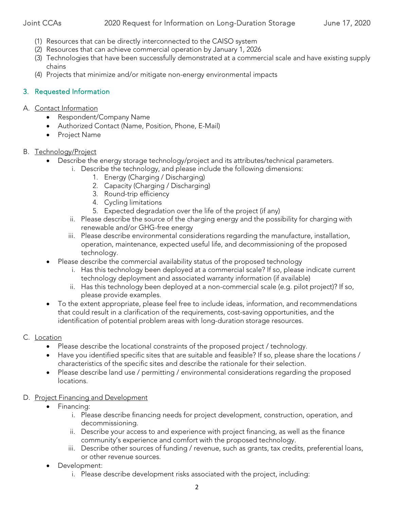#### Joint CCAs 2020 Request for Information on Long-Duration Storage June 17, 2020

- (1) Resources that can be directly interconnected to the CAISO system
- (2) Resources that can achieve commercial operation by January 1, 2026
- (3) Technologies that have been successfully demonstrated at a commercial scale and have existing supply chains
- (4) Projects that minimize and/or mitigate non-energy environmental impacts

## 3. Requested Information

#### A. Contact Information

- Respondent/Company Name
- Authorized Contact (Name, Position, Phone, E-Mail)
- Project Name

#### B. Technology/Project

- Describe the energy storage technology/project and its attributes/technical parameters.
	- i. Describe the technology, and please include the following dimensions:
		- 1. Energy (Charging / Discharging)
		- 2. Capacity (Charging / Discharging)
		- 3. Round-trip efficiency
		- 4. Cycling limitations
		- 5. Expected degradation over the life of the project (if any)
	- ii. Please describe the source of the charging energy and the possibility for charging with renewable and/or GHG-free energy
	- iii. Please describe environmental considerations regarding the manufacture, installation, operation, maintenance, expected useful life, and decommissioning of the proposed technology.
- Please describe the commercial availability status of the proposed technology
	- i. Has this technology been deployed at a commercial scale? If so, please indicate current technology deployment and associated warranty information (if available)
	- ii. Has this technology been deployed at a non-commercial scale (e.g. pilot project)? If so, please provide examples.
- To the extent appropriate, please feel free to include ideas, information, and recommendations that could result in a clarification of the requirements, cost-saving opportunities, and the identification of potential problem areas with long-duration storage resources.

#### C. Location

- Please describe the locational constraints of the proposed project / technology.
- Have you identified specific sites that are suitable and feasible? If so, please share the locations / characteristics of the specific sites and describe the rationale for their selection.
- Please describe land use / permitting / environmental considerations regarding the proposed locations.

#### D. Project Financing and Development

- Financing:
	- i. Please describe financing needs for project development, construction, operation, and decommissioning.
	- ii. Describe your access to and experience with project financing, as well as the finance community's experience and comfort with the proposed technology.
	- iii. Describe other sources of funding / revenue, such as grants, tax credits, preferential loans, or other revenue sources.
- Development:
	- i. Please describe development risks associated with the project, including: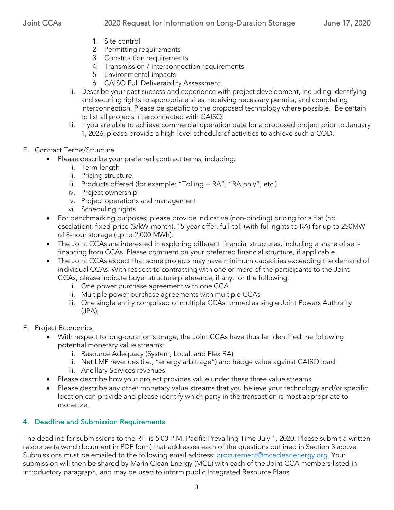- 1. Site control
- 2. Permitting requirements
- 3. Construction requirements
- 4. Transmission / interconnection requirements
- 5. Environmental impacts
- 6. CAISO Full Deliverability Assessment
- ii. Describe your past success and experience with project development, including identifying and securing rights to appropriate sites, receiving necessary permits, and completing interconnection. Please be specific to the proposed technology where possible. Be certain to list all projects interconnected with CAISO.
- iii. If you are able to achieve commercial operation date for a proposed project prior to January 1, 2026, please provide a high-level schedule of activities to achieve such a COD.
- E. Contract Terms/Structure
	- Please describe your preferred contract terms, including:
		- i. Term length
		- ii. Pricing structure
		- iii. Products offered (for example: "Tolling + RA", "RA only", etc.)
		- iv. Project ownership
		- v. Project operations and management
		- vi. Scheduling rights
	- For benchmarking purposes, please provide indicative (non-binding) pricing for a flat (no escalation), fixed-price (\$/kW-month), 15-year offer, full-toll (with full rights to RA) for up to 250MW of 8-hour storage (up to 2,000 MWh).
	- The Joint CCAs are interested in exploring different financial structures, including a share of selffinancing from CCAs. Please comment on your preferred financial structure, if applicable.
	- The Joint CCAs expect that some projects may have minimum capacities exceeding the demand of individual CCAs. With respect to contracting with one or more of the participants to the Joint CCAs, please indicate buyer structure preference, if any, for the following:
		- i. One power purchase agreement with one CCA
		- ii. Multiple power purchase agreements with multiple CCAs
		- iii. One single entity comprised of multiple CCAs formed as single Joint Powers Authority (JPA);
- F. Project Economics
	- With respect to long-duration storage, the Joint CCAs have thus far identified the following potential monetary value streams:
		- i. Resource Adequacy (System, Local, and Flex RA)
		- ii. Net LMP revenues (i.e., "energy arbitrage") and hedge value against CAISO load
		- iii. Ancillary Services revenues.
	- Please describe how your project provides value under these three value streams.
	- Please describe any other monetary value streams that you believe your technology and/or specific location can provide and please identify which party in the transaction is most appropriate to monetize.

# 4. Deadline and Submission Requirements

The deadline for submissions to the RFI is 5:00 P.M. Pacific Prevailing Time July 1, 2020. Please submit a written response (a word document in PDF form) that addresses each of the questions outlined in Section 3 above. Submissions must be emailed to the following email address: [procurement@mcecleanenergy.org.](mailto:procurement@mcecleanenergy.org) Your submission will then be shared by Marin Clean Energy (MCE) with each of the Joint CCA members listed in introductory paragraph, and may be used to inform public Integrated Resource Plans.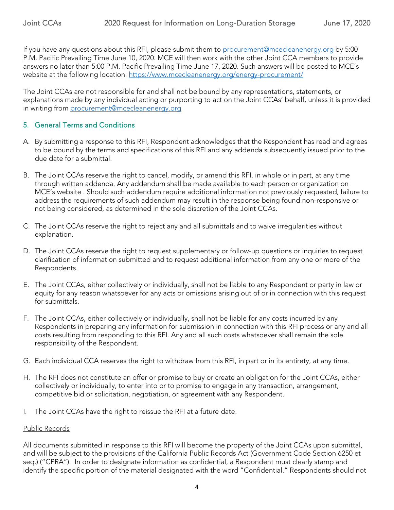If you have any questions about this RFI, please submit them to [procurement@mcecleanenergy.org](mailto:procurement@mcecleanenergy.org) by 5:00 P.M. Pacific Prevailing Time June 10, 2020. MCE will then work with the other Joint CCA members to provide answers no later than 5:00 P.M. Pacific Prevailing Time June 17, 2020. Such answers will be posted to MCE's website at the following location:<https://www.mcecleanenergy.org/energy-procurement/>

The Joint CCAs are not responsible for and shall not be bound by any representations, statements, or explanations made by any individual acting or purporting to act on the Joint CCAs' behalf, unless it is provided in writing from [procurement@mcecleanenergy.org](mailto:procurement@mcecleanenergy.org)

### 5. General Terms and Conditions

- A. By submitting a response to this RFI, Respondent acknowledges that the Respondent has read and agrees to be bound by the terms and specifications of this RFI and any addenda subsequently issued prior to the due date for a submittal.
- B. The Joint CCAs reserve the right to cancel, modify, or amend this RFI, in whole or in part, at any time through written addenda. Any addendum shall be made available to each person or organization on MCE's website . Should such addendum require additional information not previously requested, failure to address the requirements of such addendum may result in the response being found non‐responsive or not being considered, as determined in the sole discretion of the Joint CCAs.
- C. The Joint CCAs reserve the right to reject any and all submittals and to waive irregularities without explanation.
- D. The Joint CCAs reserve the right to request supplementary or follow-up questions or inquiries to request clarification of information submitted and to request additional information from any one or more of the Respondents.
- E. The Joint CCAs, either collectively or individually, shall not be liable to any Respondent or party in law or equity for any reason whatsoever for any acts or omissions arising out of or in connection with this request for submittals.
- F. The Joint CCAs, either collectively or individually, shall not be liable for any costs incurred by any Respondents in preparing any information for submission in connection with this RFI process or any and all costs resulting from responding to this RFI. Any and all such costs whatsoever shall remain the sole responsibility of the Respondent.
- G. Each individual CCA reserves the right to withdraw from this RFI, in part or in its entirety, at any time.
- H. The RFI does not constitute an offer or promise to buy or create an obligation for the Joint CCAs, either collectively or individually, to enter into or to promise to engage in any transaction, arrangement, competitive bid or solicitation, negotiation, or agreement with any Respondent.
- I. The Joint CCAs have the right to reissue the RFI at a future date.

#### Public Records

All documents submitted in response to this RFI will become the property of the Joint CCAs upon submittal, and will be subject to the provisions of the California Public Records Act (Government Code Section 6250 et seq.) ("CPRA"). In order to designate information as confidential, a Respondent must clearly stamp and identify the specific portion of the material designated with the word "Confidential." Respondents should not